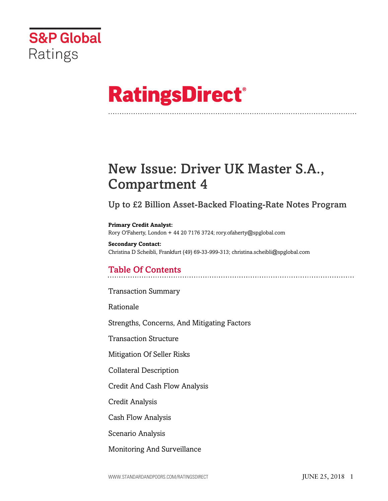

# **RatingsDirect®**

## New Issue: Driver UK Master S.A., Compartment 4

Up to £2 Billion Asset-Backed Floating-Rate Notes Program

### **Primary Credit Analyst:**

Rory O'Faherty, London + 44 20 7176 3724; rory.ofaherty@spglobal.com

**Secondary Contact:** Christina D Scheibli, Frankfurt (49) 69-33-999-313; christina.scheibli@spglobal.com

### Table Of Contents

[Transaction Summary](#page-3-0)

[Rationale](#page-4-0)

[Strengths, Concerns, And Mitigating Factors](#page-6-0)

[Transaction Structure](#page-7-0)

[Mitigation Of Seller Risks](#page-12-0)

[Collateral Description](#page-12-1)

[Credit And Cash Flow Analysis](#page-14-0)

[Credit Analysis](#page-14-1)

[Cash Flow Analysis](#page-19-0)

[Scenario Analysis](#page-20-0)

[Monitoring And Surveillance](#page-22-0)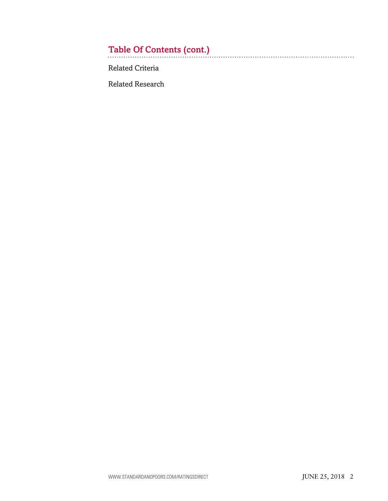## Table Of Contents (cont.)

[Related Criteria](#page-23-0)

[Related Research](#page-23-1)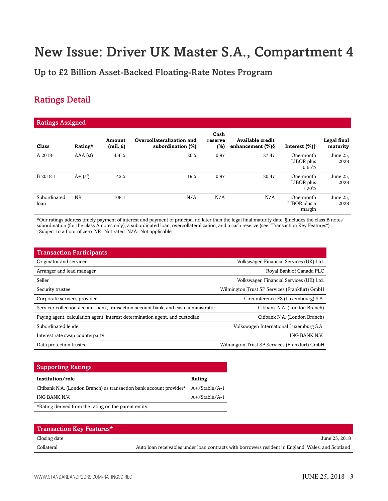## New Issue: Driver UK Master S.A., Compartment 4

Up to £2 Billion Asset-Backed Floating-Rate Notes Program

### Ratings Detail

| <b>Ratings Assigned</b> |            |                   |                                                |                           |                                         |                                     |                         |
|-------------------------|------------|-------------------|------------------------------------------------|---------------------------|-----------------------------------------|-------------------------------------|-------------------------|
| Class                   | Rating*    | Amount<br>(min f) | Overcollateralization and<br>subordination (%) | Cash<br>reserve<br>$(\%)$ | Available credit<br>enhancement $(\%)\$ | Interest (%)+                       | Legal final<br>maturity |
| A 2018-1                | $AAA$ (sf) | 456.5             | 26.5                                           | 0.97                      | 27.47                                   | One-month<br>LIBOR plus<br>0.65%    | June 25,<br>2028        |
| B 2018-1                | $A + (sf)$ | 43.5              | 19.5                                           | 0.97                      | 20.47                                   | One-month<br>LIBOR plus<br>1.20%    | June 25,<br>2028        |
| Subordinated<br>loan    | <b>NR</b>  | 108.1             | N/A                                            | N/A                       | N/A                                     | One-month<br>LIBOR plus a<br>margin | June 25,<br>2028        |

\*Our ratings address timely payment of interest and payment of principal no later than the legal final maturity date. §Includes the class B notes' subordination (for the class A notes only), a subordinated loan, overcollateralization, and a cash reserve (see "Transaction Key Features"). †Subject to a floor of zero. NR--Not rated. N/A--Not applicable.

| <b>Transaction Participants</b>                                                    |                                               |
|------------------------------------------------------------------------------------|-----------------------------------------------|
| Originator and servicer                                                            | Volkswagen Financial Services (UK) Ltd.       |
| Arranger and lead manager                                                          | Royal Bank of Canada PLC                      |
| Seller                                                                             | Volkswagen Financial Services (UK) Ltd.       |
| Security trustee                                                                   | Wilmington Trust SP Services (Frankfurt) GmbH |
| Corporate services provider                                                        | Circumference FS (Luxembourg) S.A.            |
| Servicer collection account bank, transaction account bank, and cash administrator | Citibank N.A. (London Branch)                 |
| Paying agent, calculation agent, interest determination agent, and custodian       | Citibank N.A. (London Branch)                 |
| Subordinated lender                                                                | Volkswagen International Luxemburg S.A.       |
| Interest rate swap counterparty                                                    | ING BANK N.V.                                 |
| Data protection trustee                                                            | Wilmington Trust SP Services (Frankfurt) GmbH |

| <b>Supporting Ratings</b>                                                         |               |
|-----------------------------------------------------------------------------------|---------------|
| Institution/role                                                                  | Rating        |
| Citibank N.A. (London Branch) as transaction bank account provider* A+/Stable/A-1 |               |
| ING BANK N.V.                                                                     | A+/Stable/A-1 |
| *Rating derived from the rating on the parent entity.                             |               |

| <b>Transaction Key Features*</b> |                                                                                                    |
|----------------------------------|----------------------------------------------------------------------------------------------------|
| Closing date                     | June 25, 2018                                                                                      |
| Collateral                       | Auto loan receivables under loan contracts with borrowers resident in England, Wales, and Scotland |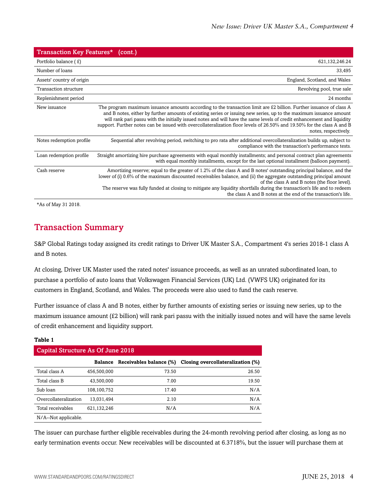| <b>Transaction Key Features*</b> | (cont.)                                                                                                                                                                                                                                                                                                                                                                                                                                                                                                                |
|----------------------------------|------------------------------------------------------------------------------------------------------------------------------------------------------------------------------------------------------------------------------------------------------------------------------------------------------------------------------------------------------------------------------------------------------------------------------------------------------------------------------------------------------------------------|
| Portfolio balance (£)            | 621,132,246.24                                                                                                                                                                                                                                                                                                                                                                                                                                                                                                         |
| Number of loans                  | 33,495                                                                                                                                                                                                                                                                                                                                                                                                                                                                                                                 |
| Assets' country of origin        | England, Scotland, and Wales                                                                                                                                                                                                                                                                                                                                                                                                                                                                                           |
| Transaction structure            | Revolving pool, true sale                                                                                                                                                                                                                                                                                                                                                                                                                                                                                              |
| Replenishment period             | 24 months                                                                                                                                                                                                                                                                                                                                                                                                                                                                                                              |
| New issuance                     | The program maximum issuance amounts according to the transaction limit are £2 billion. Further issuance of class A<br>and B notes, either by further amounts of existing series or issuing new series, up to the maximum issuance amount<br>will rank pari passu with the initially issued notes and will have the same levels of credit enhancement and liquidity<br>support. Further notes can be issued with overcollateralization floor levels of 26.50% and 19.50% for the class A and B<br>notes, respectively. |
| Notes redemption profile         | Sequential after revolving period, switching to pro rata after additional overcollateralization builds up, subject to<br>compliance with the transaction's performance tests.                                                                                                                                                                                                                                                                                                                                          |
| Loan redemption profile          | Straight amortizing hire purchase agreements with equal monthly installments; and personal contract plan agreements<br>with equal monthly installments, except for the last optional installment (balloon payment).                                                                                                                                                                                                                                                                                                    |
| Cash reserve                     | Amortizing reserve; equal to the greater of 1.2% of the class A and B notes' outstanding principal balance, and the<br>lower of (i) 0.6% of the maximum discounted receivables balance, and (ii) the aggregate outstanding principal amount<br>of the class A and B notes (the floor level).<br>The reserve was fully funded at closing to mitigate any liquidity shortfalls during the transaction's life and to redeem<br>the class A and B notes at the end of the transaction's life.                              |
|                                  |                                                                                                                                                                                                                                                                                                                                                                                                                                                                                                                        |

<span id="page-3-0"></span>\*As of May 31 2018.

### Transaction Summary

S&P Global Ratings today assigned its credit ratings to Driver UK Master S.A., Compartment 4's series 2018-1 class A and B notes.

At closing, Driver UK Master used the rated notes' issuance proceeds, as well as an unrated subordinated loan, to purchase a portfolio of auto loans that Volkswagen Financial Services (UK) Ltd. (VWFS UK) originated for its customers in England, Scotland, and Wales. The proceeds were also used to fund the cash reserve.

Further issuance of class A and B notes, either by further amounts of existing series or issuing new series, up to the maximum issuance amount (£2 billion) will rank pari passu with the initially issued notes and will have the same levels of credit enhancement and liquidity support.

### **Table 1**

| Capital Structure As Of June 2018 |                |                         |                                   |  |  |  |  |  |
|-----------------------------------|----------------|-------------------------|-----------------------------------|--|--|--|--|--|
|                                   | <b>Balance</b> | Receivables balance (%) | Closing overcollateralization (%) |  |  |  |  |  |
| Total class A                     | 456,500,000    | 73.50                   | 26.50                             |  |  |  |  |  |
| Total class B                     | 43.500.000     | 7.00                    | 19.50                             |  |  |  |  |  |
| Sub loan                          | 108,100,752    | 17.40                   | N/A                               |  |  |  |  |  |
| Overcollateralization             | 13.031.494     | 2.10                    | N/A                               |  |  |  |  |  |
| Total receivables                 | 621,132,246    | N/A                     | N/A                               |  |  |  |  |  |
| N/A--Not applicable.              |                |                         |                                   |  |  |  |  |  |

The issuer can purchase further eligible receivables during the 24-month revolving period after closing, as long as no early termination events occur. New receivables will be discounted at 6.3718%, but the issuer will purchase them at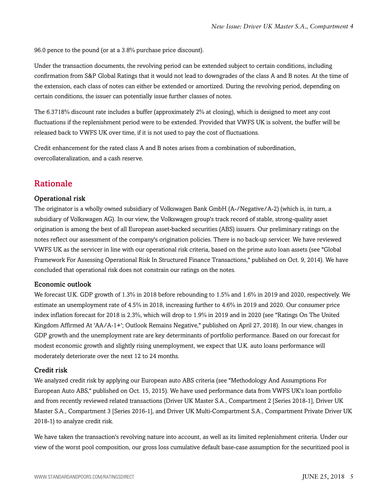96.0 pence to the pound (or at a 3.8% purchase price discount).

Under the transaction documents, the revolving period can be extended subject to certain conditions, including confirmation from S&P Global Ratings that it would not lead to downgrades of the class A and B notes. At the time of the extension, each class of notes can either be extended or amortized. During the revolving period, depending on certain conditions, the issuer can potentially issue further classes of notes.

The 6.3718% discount rate includes a buffer (approximately 2% at closing), which is designed to meet any cost fluctuations if the replenishment period were to be extended. Provided that VWFS UK is solvent, the buffer will be released back to VWFS UK over time, if it is not used to pay the cost of fluctuations.

Credit enhancement for the rated class A and B notes arises from a combination of subordination, overcollateralization, and a cash reserve.

### <span id="page-4-0"></span>Rationale

### Operational risk

The originator is a wholly owned subsidiary of Volkswagen Bank GmbH (A-/Negative/A-2) (which is, in turn, a subsidiary of Volkswagen AG). In our view, the Volkswagen group's track record of stable, strong-quality asset origination is among the best of all European asset-backed securities (ABS) issuers. Our preliminary ratings on the notes reflect our assessment of the company's origination policies. There is no back-up servicer. We have reviewed VWFS UK as the servicer in line with our operational risk criteria, based on the prime auto loan assets (see "Global Framework For Assessing Operational Risk In Structured Finance Transactions," published on Oct. 9, 2014). We have concluded that operational risk does not constrain our ratings on the notes.

### Economic outlook

We forecast U.K. GDP growth of 1.3% in 2018 before rebounding to 1.5% and 1.6% in 2019 and 2020, respectively. We estimate an unemployment rate of 4.5% in 2018, increasing further to 4.6% in 2019 and 2020. Our consumer price index inflation forecast for 2018 is 2.3%, which will drop to 1.9% in 2019 and in 2020 (see "Ratings On The United Kingdom Affirmed At 'AA/A-1+'; Outlook Remains Negative," published on April 27, 2018). In our view, changes in GDP growth and the unemployment rate are key determinants of portfolio performance. Based on our forecast for modest economic growth and slightly rising unemployment, we expect that U.K. auto loans performance will moderately deteriorate over the next 12 to 24 months.

### Credit risk

We analyzed credit risk by applying our European auto ABS criteria (see "Methodology And Assumptions For European Auto ABS," published on Oct. 15, 2015). We have used performance data from VWFS UK's loan portfolio and from recently reviewed related transactions (Driver UK Master S.A., Compartment 2 [Series 2018-1], Driver UK Master S.A., Compartment 3 [Series 2016-1], and Driver UK Multi-Compartment S.A., Compartment Private Driver UK 2018-1) to analyze credit risk.

We have taken the transaction's revolving nature into account, as well as its limited replenishment criteria. Under our view of the worst pool composition, our gross loss cumulative default base-case assumption for the securitized pool is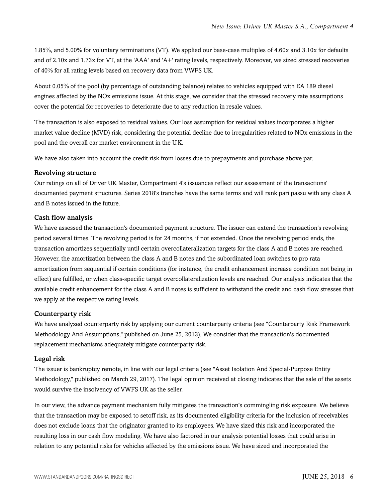1.85%, and 5.00% for voluntary terminations (VT). We applied our base-case multiples of 4.60x and 3.10x for defaults and of 2.10x and 1.73x for VT, at the 'AAA' and 'A+' rating levels, respectively. Moreover, we sized stressed recoveries of 40% for all rating levels based on recovery data from VWFS UK.

About 0.05% of the pool (by percentage of outstanding balance) relates to vehicles equipped with EA 189 diesel engines affected by the NOx emissions issue. At this stage, we consider that the stressed recovery rate assumptions cover the potential for recoveries to deteriorate due to any reduction in resale values.

The transaction is also exposed to residual values. Our loss assumption for residual values incorporates a higher market value decline (MVD) risk, considering the potential decline due to irregularities related to NOx emissions in the pool and the overall car market environment in the U.K.

We have also taken into account the credit risk from losses due to prepayments and purchase above par.

### Revolving structure

Our ratings on all of Driver UK Master, Compartment 4's issuances reflect our assessment of the transactions' documented payment structures. Series 2018's tranches have the same terms and will rank pari passu with any class A and B notes issued in the future.

### Cash flow analysis

We have assessed the transaction's documented payment structure. The issuer can extend the transaction's revolving period several times. The revolving period is for 24 months, if not extended. Once the revolving period ends, the transaction amortizes sequentially until certain overcollateralization targets for the class A and B notes are reached. However, the amortization between the class A and B notes and the subordinated loan switches to pro rata amortization from sequential if certain conditions (for instance, the credit enhancement increase condition not being in effect) are fulfilled, or when class-specific target overcollateralization levels are reached. Our analysis indicates that the available credit enhancement for the class A and B notes is sufficient to withstand the credit and cash flow stresses that we apply at the respective rating levels.

### Counterparty risk

We have analyzed counterparty risk by applying our current counterparty criteria (see "Counterparty Risk Framework Methodology And Assumptions," published on June 25, 2013). We consider that the transaction's documented replacement mechanisms adequately mitigate counterparty risk.

### Legal risk

The issuer is bankruptcy remote, in line with our legal criteria (see "Asset Isolation And Special-Purpose Entity Methodology," published on March 29, 2017). The legal opinion received at closing indicates that the sale of the assets would survive the insolvency of VWFS UK as the seller.

In our view, the advance payment mechanism fully mitigates the transaction's commingling risk exposure. We believe that the transaction may be exposed to setoff risk, as its documented eligibility criteria for the inclusion of receivables does not exclude loans that the originator granted to its employees. We have sized this risk and incorporated the resulting loss in our cash flow modeling. We have also factored in our analysis potential losses that could arise in relation to any potential risks for vehicles affected by the emissions issue. We have sized and incorporated the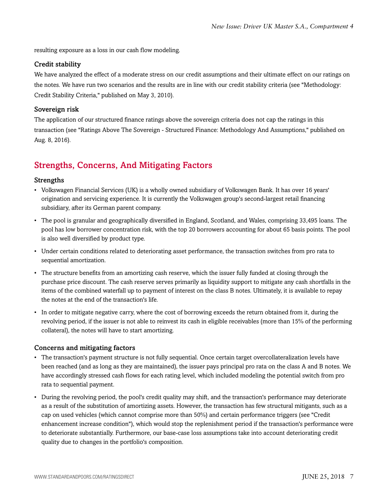resulting exposure as a loss in our cash flow modeling.

### Credit stability

We have analyzed the effect of a moderate stress on our credit assumptions and their ultimate effect on our ratings on the notes. We have run two scenarios and the results are in line with our credit stability criteria (see "Methodology: Credit Stability Criteria," published on May 3, 2010).

### Sovereign risk

The application of our structured finance ratings above the sovereign criteria does not cap the ratings in this transaction (see "Ratings Above The Sovereign - Structured Finance: Methodology And Assumptions," published on Aug. 8, 2016).

### <span id="page-6-0"></span>Strengths, Concerns, And Mitigating Factors

### Strengths

- Volkswagen Financial Services (UK) is a wholly owned subsidiary of Volkswagen Bank. It has over 16 years' origination and servicing experience. It is currently the Volkswagen group's second-largest retail financing subsidiary, after its German parent company.
- The pool is granular and geographically diversified in England, Scotland, and Wales, comprising 33,495 loans. The pool has low borrower concentration risk, with the top 20 borrowers accounting for about 65 basis points. The pool is also well diversified by product type.
- Under certain conditions related to deteriorating asset performance, the transaction switches from pro rata to sequential amortization.
- The structure benefits from an amortizing cash reserve, which the issuer fully funded at closing through the purchase price discount. The cash reserve serves primarily as liquidity support to mitigate any cash shortfalls in the items of the combined waterfall up to payment of interest on the class B notes. Ultimately, it is available to repay the notes at the end of the transaction's life.
- In order to mitigate negative carry, where the cost of borrowing exceeds the return obtained from it, during the revolving period, if the issuer is not able to reinvest its cash in eligible receivables (more than 15% of the performing collateral), the notes will have to start amortizing.

### Concerns and mitigating factors

- The transaction's payment structure is not fully sequential. Once certain target overcollateralization levels have been reached (and as long as they are maintained), the issuer pays principal pro rata on the class A and B notes. We have accordingly stressed cash flows for each rating level, which included modeling the potential switch from pro rata to sequential payment.
- During the revolving period, the pool's credit quality may shift, and the transaction's performance may deteriorate as a result of the substitution of amortizing assets. However, the transaction has few structural mitigants, such as a cap on used vehicles (which cannot comprise more than 50%) and certain performance triggers (see "Credit enhancement increase condition"), which would stop the replenishment period if the transaction's performance were to deteriorate substantially. Furthermore, our base-case loss assumptions take into account deteriorating credit quality due to changes in the portfolio's composition.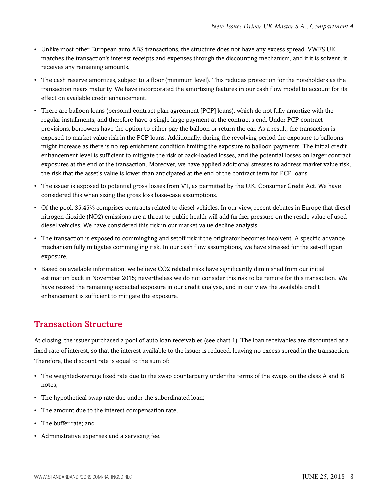- Unlike most other European auto ABS transactions, the structure does not have any excess spread. VWFS UK matches the transaction's interest receipts and expenses through the discounting mechanism, and if it is solvent, it receives any remaining amounts.
- The cash reserve amortizes, subject to a floor (minimum level). This reduces protection for the noteholders as the transaction nears maturity. We have incorporated the amortizing features in our cash flow model to account for its effect on available credit enhancement.
- There are balloon loans (personal contract plan agreement [PCP] loans), which do not fully amortize with the regular installments, and therefore have a single large payment at the contract's end. Under PCP contract provisions, borrowers have the option to either pay the balloon or return the car. As a result, the transaction is exposed to market value risk in the PCP loans. Additionally, during the revolving period the exposure to balloons might increase as there is no replenishment condition limiting the exposure to balloon payments. The initial credit enhancement level is sufficient to mitigate the risk of back-loaded losses, and the potential losses on larger contract exposures at the end of the transaction. Moreover, we have applied additional stresses to address market value risk, the risk that the asset's value is lower than anticipated at the end of the contract term for PCP loans.
- The issuer is exposed to potential gross losses from VT, as permitted by the U.K. Consumer Credit Act. We have considered this when sizing the gross loss base-case assumptions.
- Of the pool, 35.45% comprises contracts related to diesel vehicles. In our view, recent debates in Europe that diesel nitrogen dioxide (NO2) emissions are a threat to public health will add further pressure on the resale value of used diesel vehicles. We have considered this risk in our market value decline analysis.
- The transaction is exposed to commingling and setoff risk if the originator becomes insolvent. A specific advance mechanism fully mitigates commingling risk. In our cash flow assumptions, we have stressed for the set-off open exposure.
- Based on available information, we believe CO2 related risks have significantly diminished from our initial estimation back in November 2015; nevertheless we do not consider this risk to be remote for this transaction. We have resized the remaining expected exposure in our credit analysis, and in our view the available credit enhancement is sufficient to mitigate the exposure.

### <span id="page-7-0"></span>Transaction Structure

At closing, the issuer purchased a pool of auto loan receivables (see chart 1). The loan receivables are discounted at a fixed rate of interest, so that the interest available to the issuer is reduced, leaving no excess spread in the transaction. Therefore, the discount rate is equal to the sum of:

- The weighted-average fixed rate due to the swap counterparty under the terms of the swaps on the class A and B notes;
- The hypothetical swap rate due under the subordinated loan;
- The amount due to the interest compensation rate;
- The buffer rate; and
- Administrative expenses and a servicing fee.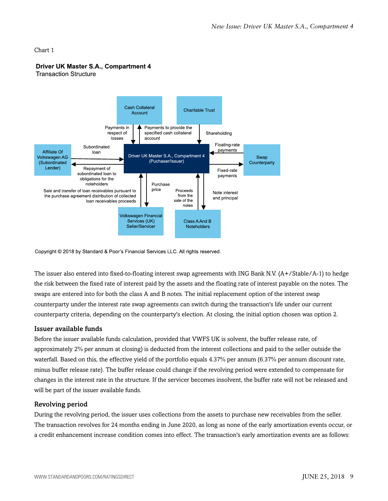### Chart 1

### Driver UK Master S.A., Compartment 4

**Transaction Structure** 



Copyright © 2018 by Standard & Poor's Financial Services LLC. All rights reserved.

The issuer also entered into fixed-to-floating interest swap agreements with ING Bank N.V. (A+/Stable/A-1) to hedge the risk between the fixed rate of interest paid by the assets and the floating rate of interest payable on the notes. The swaps are entered into for both the class A and B notes. The initial replacement option of the interest swap counterparty under the interest rate swap agreements can switch during the transaction's life under our current counterparty criteria, depending on the counterparty's election. At closing, the initial option chosen was option 2.

### Issuer available funds

Before the issuer available funds calculation, provided that VWFS UK is solvent, the buffer release rate, of approximately 2% per annum at closing) is deducted from the interest collections and paid to the seller outside the waterfall. Based on this, the effective yield of the portfolio equals 4.37% per annum (6.37% per annum discount rate, minus buffer release rate). The buffer release could change if the revolving period were extended to compensate for changes in the interest rate in the structure. If the servicer becomes insolvent, the buffer rate will not be released and will be part of the issuer available funds.

### Revolving period

During the revolving period, the issuer uses collections from the assets to purchase new receivables from the seller. The transaction revolves for 24 months ending in June 2020, as long as none of the early amortization events occur, or a credit enhancement increase condition comes into effect. The transaction's early amortization events are as follows: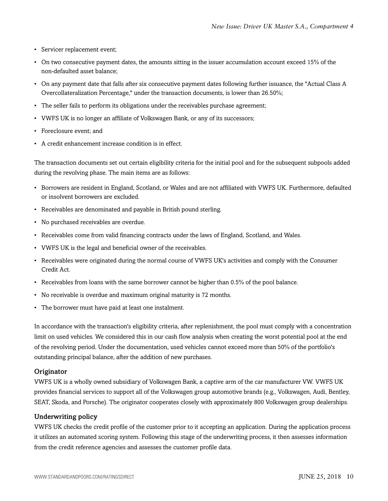- Servicer replacement event;
- On two consecutive payment dates, the amounts sitting in the issuer accumulation account exceed 15% of the non-defaulted asset balance;
- On any payment date that falls after six consecutive payment dates following further issuance, the "Actual Class A Overcollateralization Percentage," under the transaction documents, is lower than 26.50%;
- The seller fails to perform its obligations under the receivables purchase agreement;
- VWFS UK is no longer an affiliate of Volkswagen Bank, or any of its successors;
- Foreclosure event; and
- A credit enhancement increase condition is in effect.

The transaction documents set out certain eligibility criteria for the initial pool and for the subsequent subpools added during the revolving phase. The main items are as follows:

- Borrowers are resident in England, Scotland, or Wales and are not affiliated with VWFS UK. Furthermore, defaulted or insolvent borrowers are excluded.
- Receivables are denominated and payable in British pound sterling.
- No purchased receivables are overdue.
- Receivables come from valid financing contracts under the laws of England, Scotland, and Wales.
- VWFS UK is the legal and beneficial owner of the receivables.
- Receivables were originated during the normal course of VWFS UK's activities and comply with the Consumer Credit Act.
- Receivables from loans with the same borrower cannot be higher than 0.5% of the pool balance.
- No receivable is overdue and maximum original maturity is 72 months.
- The borrower must have paid at least one instalment.

In accordance with the transaction's eligibility criteria, after replenishment, the pool must comply with a concentration limit on used vehicles. We considered this in our cash flow analysis when creating the worst potential pool at the end of the revolving period. Under the documentation, used vehicles cannot exceed more than 50% of the portfolio's outstanding principal balance, after the addition of new purchases.

#### **Originator**

VWFS UK is a wholly owned subsidiary of Volkswagen Bank, a captive arm of the car manufacturer VW. VWFS UK provides financial services to support all of the Volkswagen group automotive brands (e.g., Volkswagen, Audi, Bentley, SEAT, Skoda, and Porsche). The originator cooperates closely with approximately 800 Volkswagen group dealerships.

#### Underwriting policy

VWFS UK checks the credit profile of the customer prior to it accepting an application. During the application process it utilizes an automated scoring system. Following this stage of the underwriting process, it then assesses information from the credit reference agencies and assesses the customer profile data.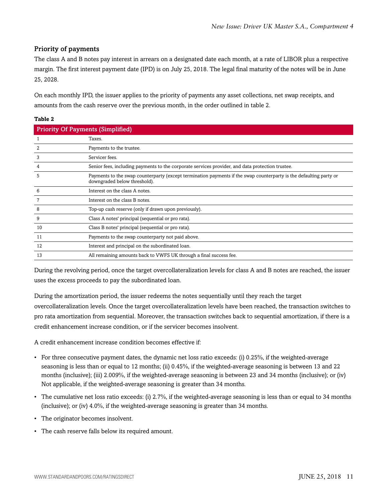### Priority of payments

The class A and B notes pay interest in arrears on a designated date each month, at a rate of LIBOR plus a respective margin. The first interest payment date (IPD) is on July 25, 2018. The legal final maturity of the notes will be in June 25, 2028.

On each monthly IPD, the issuer applies to the priority of payments any asset collections, net swap receipts, and amounts from the cash reserve over the previous month, in the order outlined in table 2.

### **Table 2**

| <b>Priority Of Payments (Simplified)</b> |                                                                                                                                                    |  |  |  |  |  |
|------------------------------------------|----------------------------------------------------------------------------------------------------------------------------------------------------|--|--|--|--|--|
|                                          | Taxes.                                                                                                                                             |  |  |  |  |  |
|                                          | Payments to the trustee.                                                                                                                           |  |  |  |  |  |
| 3                                        | Servicer fees.                                                                                                                                     |  |  |  |  |  |
| 4                                        | Senior fees, including payments to the corporate services provider, and data protection trustee.                                                   |  |  |  |  |  |
| 5                                        | Payments to the swap counterparty (except termination payments if the swap counterparty is the defaulting party or<br>downgraded below threshold). |  |  |  |  |  |
| 6                                        | Interest on the class A notes.                                                                                                                     |  |  |  |  |  |
|                                          | Interest on the class B notes.                                                                                                                     |  |  |  |  |  |
| 8                                        | Top-up cash reserve (only if drawn upon previously).                                                                                               |  |  |  |  |  |
| 9                                        | Class A notes' principal (sequential or pro rata).                                                                                                 |  |  |  |  |  |
| 10                                       | Class B notes' principal (sequential or pro rata).                                                                                                 |  |  |  |  |  |
| 11                                       | Payments to the swap counterparty not paid above.                                                                                                  |  |  |  |  |  |
| 12                                       | Interest and principal on the subordinated loan.                                                                                                   |  |  |  |  |  |
| 13                                       | All remaining amounts back to VWFS UK through a final success fee.                                                                                 |  |  |  |  |  |

During the revolving period, once the target overcollateralization levels for class A and B notes are reached, the issuer uses the excess proceeds to pay the subordinated loan.

During the amortization period, the issuer redeems the notes sequentially until they reach the target overcollateralization levels. Once the target overcollateralization levels have been reached, the transaction switches to pro rata amortization from sequential. Moreover, the transaction switches back to sequential amortization, if there is a credit enhancement increase condition, or if the servicer becomes insolvent.

A credit enhancement increase condition becomes effective if:

- For three consecutive payment dates, the dynamic net loss ratio exceeds: (i) 0.25%, if the weighted-average seasoning is less than or equal to 12 months; (ii) 0.45%, if the weighted-average seasoning is between 13 and 22 months (inclusive); (iii) 2.009%, if the weighted-average seasoning is between 23 and 34 months (inclusive); or (iv) Not applicable, if the weighted-average seasoning is greater than 34 months.
- The cumulative net loss ratio exceeds: (i) 2.7%, if the weighted-average seasoning is less than or equal to 34 months (inclusive); or (iv) 4.0%, if the weighted-average seasoning is greater than 34 months.
- The originator becomes insolvent.
- The cash reserve falls below its required amount.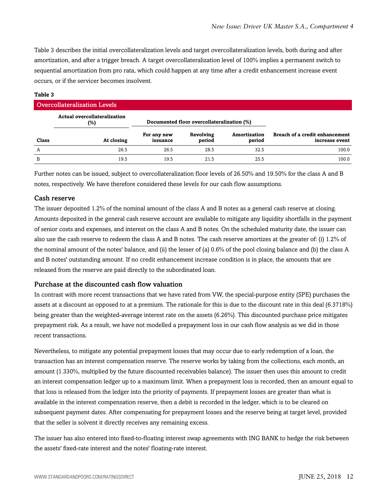Table 3 describes the initial overcollateralization levels and target overcollateralization levels, both during and after amortization, and after a trigger breach. A target overcollateralization level of 100% implies a permanent switch to sequential amortization from pro rata, which could happen at any time after a credit enhancement increase event occurs, or if the servicer becomes insolvent.

| <b>Overcollateralization Levels</b> |                                     |                         |                                            |                        |                                                  |  |  |  |
|-------------------------------------|-------------------------------------|-------------------------|--------------------------------------------|------------------------|--------------------------------------------------|--|--|--|
|                                     | Actual overcollateralization<br>(%) |                         | Documented floor overcollateralization (%) |                        |                                                  |  |  |  |
| Class                               | At closing                          | For any new<br>issuance | Revolving<br>period                        | Amortization<br>period | Breach of a credit enhancement<br>increase event |  |  |  |
| A                                   | 26.5                                | 26.5                    | 28.5                                       | 32.5                   | 100.0                                            |  |  |  |
| в                                   | 19.5                                | 19.5                    | 21.5                                       | 25.5                   | 100.0                                            |  |  |  |

### **Table 3**

Further notes can be issued, subject to overcollateralization floor levels of 26.50% and 19.50% for the class A and B notes, respectively. We have therefore considered these levels for our cash flow assumptions.

### Cash reserve

The issuer deposited 1.2% of the nominal amount of the class A and B notes as a general cash reserve at closing. Amounts deposited in the general cash reserve account are available to mitigate any liquidity shortfalls in the payment of senior costs and expenses, and interest on the class A and B notes. On the scheduled maturity date, the issuer can also use the cash reserve to redeem the class A and B notes. The cash reserve amortizes at the greater of: (i) 1.2% of the nominal amount of the notes' balance, and (ii) the lesser of (a) 0.6% of the pool closing balance and (b) the class A and B notes' outstanding amount. If no credit enhancement increase condition is in place, the amounts that are released from the reserve are paid directly to the subordinated loan.

### Purchase at the discounted cash flow valuation

In contrast with more recent transactions that we have rated from VW, the special-purpose entity (SPE) purchases the assets at a discount as opposed to at a premium. The rationale for this is due to the discount rate in this deal (6.3718%) being greater than the weighted-average interest rate on the assets (6.26%). This discounted purchase price mitigates prepayment risk. As a result, we have not modelled a prepayment loss in our cash flow analysis as we did in those recent transactions.

Nevertheless, to mitigate any potential prepayment losses that may occur due to early redemption of a loan, the transaction has an interest compensation reserve. The reserve works by taking from the collections, each month, an amount (1.330%, multiplied by the future discounted receivables balance). The issuer then uses this amount to credit an interest compensation ledger up to a maximum limit. When a prepayment loss is recorded, then an amount equal to that loss is released from the ledger into the priority of payments. If prepayment losses are greater than what is available in the interest compensation reserve, then a debit is recorded in the ledger, which is to be cleared on subsequent payment dates. After compensating for prepayment losses and the reserve being at target level, provided that the seller is solvent it directly receives any remaining excess.

The issuer has also entered into fixed-to-floating interest swap agreements with ING BANK to hedge the risk between the assets' fixed-rate interest and the notes' floating-rate interest.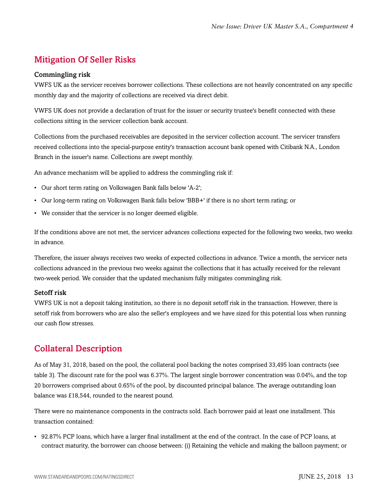### <span id="page-12-0"></span>Mitigation Of Seller Risks

### Commingling risk

VWFS UK as the servicer receives borrower collections. These collections are not heavily concentrated on any specific monthly day and the majority of collections are received via direct debit.

VWFS UK does not provide a declaration of trust for the issuer or security trustee's benefit connected with these collections sitting in the servicer collection bank account.

Collections from the purchased receivables are deposited in the servicer collection account. The servicer transfers received collections into the special-purpose entity's transaction account bank opened with Citibank N.A., London Branch in the issuer's name. Collections are swept monthly.

An advance mechanism will be applied to address the commingling risk if:

- Our short term rating on Volkswagen Bank falls below 'A-2';
- Our long-term rating on Volkswagen Bank falls below 'BBB+' if there is no short term rating; or
- We consider that the servicer is no longer deemed eligible.

If the conditions above are not met, the servicer advances collections expected for the following two weeks, two weeks in advance.

Therefore, the issuer always receives two weeks of expected collections in advance. Twice a month, the servicer nets collections advanced in the previous two weeks against the collections that it has actually received for the relevant two-week period. We consider that the updated mechanism fully mitigates commingling risk.

### Setoff risk

VWFS UK is not a deposit taking institution, so there is no deposit setoff risk in the transaction. However, there is setoff risk from borrowers who are also the seller's employees and we have sized for this potential loss when running our cash flow stresses.

### <span id="page-12-1"></span>Collateral Description

As of May 31, 2018, based on the pool, the collateral pool backing the notes comprised 33,495 loan contracts (see table 3). The discount rate for the pool was 6.37%. The largest single borrower concentration was 0.04%, and the top 20 borrowers comprised about 0.65% of the pool, by discounted principal balance. The average outstanding loan balance was £18,544, rounded to the nearest pound.

There were no maintenance components in the contracts sold. Each borrower paid at least one installment. This transaction contained:

• 92.87% PCP loans, which have a larger final installment at the end of the contract. In the case of PCP loans, at contract maturity, the borrower can choose between: (i) Retaining the vehicle and making the balloon payment; or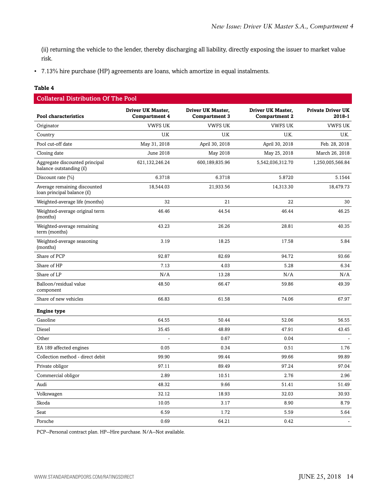(ii) returning the vehicle to the lender, thereby discharging all liability, directly exposing the issuer to market value risk.

• 7.13% hire purchase (HP) agreements are loans, which amortize in equal instalments.

### **Table 4**

### Collateral Distribution Of The Pool

| <b>Pool characteristics</b>                                | Driver UK Master,<br><b>Compartment 4</b> | Driver UK Master,<br>Compartment 3 | Driver UK Master,<br><b>Compartment 2</b> | <b>Private Driver UK</b><br>2018-1 |
|------------------------------------------------------------|-------------------------------------------|------------------------------------|-------------------------------------------|------------------------------------|
| Originator                                                 | <b>VWFS UK</b>                            | <b>VWFS UK</b>                     | <b>VWFS UK</b>                            | <b>VWFS UK</b>                     |
| Country                                                    | U.K                                       | U.K                                | U.K.                                      | U.K.                               |
| Pool cut-off date                                          | May 31, 2018                              | April 30, 2018                     | April 30, 2018                            | Feb. 28, 2018                      |
| Closing date                                               | June 2018                                 | May 2018                           | May 25, 2018                              | March 26, 2018                     |
| Aggregate discounted principal<br>balance outstanding (£)  | 621,132,246.24                            | 600,189,835.96                     | 5,542,036,312.70                          | 1,250,005,566.84                   |
| Discount rate $(\% )$                                      | 6.3718                                    | 6.3718                             | 5.8720                                    | 5.1544                             |
| Average remaining discounted<br>loan principal balance (£) | 18,544.03                                 | 21,933.56                          | 14,313.30                                 | 18,479.73                          |
| Weighted-average life (months)                             | 32                                        | 21                                 | 22                                        | 30                                 |
| Weighted-average original term<br>(months)                 | 46.46                                     | 44.54                              | 46.44                                     | 46.25                              |
| Weighted-average remaining<br>term (months)                | 43.23                                     | 26.26                              | 28.81                                     | 40.35                              |
| Weighted-average seasoning<br>(months)                     | 3.19                                      | 18.25                              | 17.58                                     | 5.84                               |
| Share of PCP                                               | 92.87                                     | 82.69                              | 94.72                                     | 93.66                              |
| Share of HP                                                | 7.13                                      | 4.03                               | 5.28                                      | 6.34                               |
| Share of LP                                                | N/A                                       | 13.28                              | N/A                                       | N/A                                |
| Balloon/residual value<br>component                        | 48.50                                     | 66.47                              | 59.86                                     | 49.39                              |
| Share of new vehicles                                      | 66.83                                     | 61.58                              | 74.06                                     | 67.97                              |
| <b>Engine type</b>                                         |                                           |                                    |                                           |                                    |
| Gasoline                                                   | 64.55                                     | 50.44                              | 52.06                                     | 56.55                              |
| Diesel                                                     | 35.45                                     | 48.89                              | 47.91                                     | 43.45                              |
| Other                                                      |                                           | 0.67                               | 0.04                                      |                                    |
| EA 189 affected engines                                    | 0.05                                      | 0.34                               | 0.51                                      | 1.76                               |
| Collection method - direct debit                           | 99.90                                     | 99.44                              | 99.66                                     | 99.89                              |
| Private obligor                                            | 97.11                                     | 89.49                              | 97.24                                     | 97.04                              |
| Commercial obligor                                         | 2.89                                      | 10.51                              | 2.76                                      | 2.96                               |
| Audi                                                       | 48.32                                     | 9.66                               | 51.41                                     | 51.49                              |
| Volkswagen                                                 | 32.12                                     | 18.93                              | 32.03                                     | 30.93                              |
| Skoda                                                      | 10.05                                     | 3.17                               | 8.90                                      | 8.79                               |
| Seat                                                       | 6.59                                      | 1.72                               | 5.59                                      | 5.64                               |
| Porsche                                                    | 0.69                                      | 64.21                              | 0.42                                      |                                    |

PCP--Personal contract plan. HP--Hire purchase. N/A--Not available.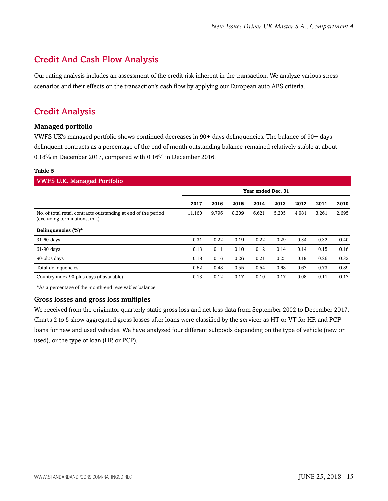### <span id="page-14-0"></span>Credit And Cash Flow Analysis

Our rating analysis includes an assessment of the credit risk inherent in the transaction. We analyze various stress scenarios and their effects on the transaction's cash flow by applying our European auto ABS criteria.

### <span id="page-14-1"></span>Credit Analysis

### Managed portfolio

VWFS UK's managed portfolio shows continued decreases in 90+ days delinquencies. The balance of 90+ days delinquent contracts as a percentage of the end of month outstanding balance remained relatively stable at about 0.18% in December 2017, compared with 0.16% in December 2016.

### **Table 5**

| <b>VWFS U.K. Managed Portfolio</b>                                                               |                    |       |       |       |       |       |       |       |
|--------------------------------------------------------------------------------------------------|--------------------|-------|-------|-------|-------|-------|-------|-------|
|                                                                                                  | Year ended Dec. 31 |       |       |       |       |       |       |       |
|                                                                                                  | 2017               | 2016  | 2015  | 2014  | 2013  | 2012  | 2011  | 2010  |
| No. of total retail contracts outstanding at end of the period<br>(excluding terminations; mil.) | 11,160             | 9,796 | 8,209 | 6,621 | 5,205 | 4,081 | 3,261 | 2,695 |
| Delinquencies (%)*                                                                               |                    |       |       |       |       |       |       |       |
| 31-60 days                                                                                       | 0.31               | 0.22  | 0.19  | 0.22  | 0.29  | 0.34  | 0.32  | 0.40  |
| 61-90 days                                                                                       | 0.13               | 0.11  | 0.10  | 0.12  | 0.14  | 0.14  | 0.15  | 0.16  |
| 90-plus days                                                                                     | 0.18               | 0.16  | 0.26  | 0.21  | 0.25  | 0.19  | 0.26  | 0.33  |
| Total delinquencies                                                                              | 0.62               | 0.48  | 0.55  | 0.54  | 0.68  | 0.67  | 0.73  | 0.89  |
| Country index 90-plus days (if available)                                                        | 0.13               | 0.12  | 0.17  | 0.10  | 0.17  | 0.08  | 0.11  | 0.17  |

\*As a percentage of the month-end receivables balance.

### Gross losses and gross loss multiples

We received from the originator quarterly static gross loss and net loss data from September 2002 to December 2017. Charts 2 to 5 show aggregated gross losses after loans were classified by the servicer as HT or VT for HP, and PCP loans for new and used vehicles. We have analyzed four different subpools depending on the type of vehicle (new or used), or the type of loan (HP, or PCP).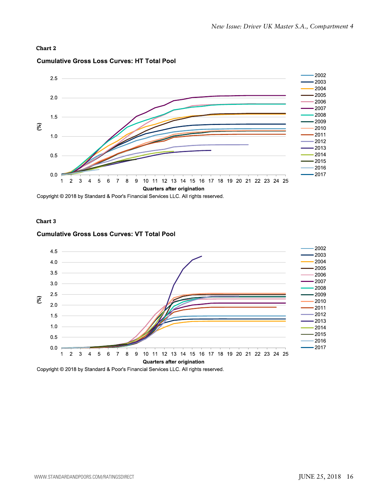### **Chart 2**



### **Cumulative Gross Loss Curves: HT Total Pool**

Copyright © 2018 by Standard & Poor's Financial Services LLC. All rights reserved.

#### **Chart 3**

#### **Cumulative Gross Loss Curves: VT Total Pool**



Copyright © 2018 by Standard & Poor's Financial Services LLC. All rights reserved.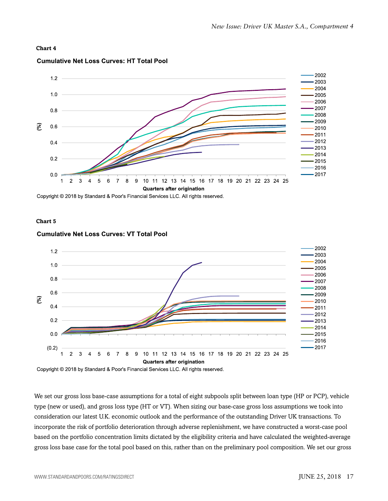### **Chart 4**



### **Cumulative Net Loss Curves: HT Total Pool**

Copyright © 2018 by Standard & Poor's Financial Services LLC. All rights reserved.

#### **Chart 5**

#### 2002  $1.2 -$ 2003 2004  $1.0 -$ 2005 2006  $0.8$ 2007 2008  $0.6$ 2009  $\mathcal{S}$ 2010  $0.4$  $2011$ 2012  $0.2$ 2013 2014  $0.0$ 2015 2016  $-2017$  $(0.2)$  $\overline{2}$ 3  $\overline{4}$  $5\phantom{.0}$  $6\phantom{1}$  $7<sup>7</sup>$ 8 9 10 11 12 13 14 15 16 17 18 19 20 21 22 23 24 25  $\mathbf{1}$ **Quarters after origination**

#### **Cumulative Net Loss Curves: VT Total Pool**

Copyright © 2018 by Standard & Poor's Financial Services LLC. All rights reserved.

We set our gross loss base-case assumptions for a total of eight subpools split between loan type (HP or PCP), vehicle type (new or used), and gross loss type (HT or VT). When sizing our base-case gross loss assumptions we took into consideration our latest U.K. economic outlook and the performance of the outstanding Driver UK transactions. To incorporate the risk of portfolio deterioration through adverse replenishment, we have constructed a worst-case pool based on the portfolio concentration limits dictated by the eligibility criteria and have calculated the weighted-average gross loss base case for the total pool based on this, rather than on the preliminary pool composition. We set our gross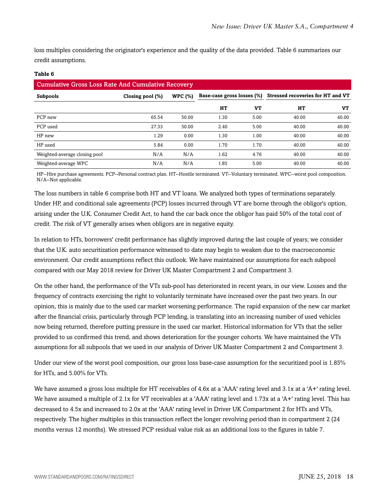loss multiples considering the originator's experience and the quality of the data provided. Table 6 summarizes our credit assumptions.

#### **Table 6**

| <b>Cumulative Gross Loss Rate And Cumulative Recovery</b> |                  |                |                            |      |                                          |       |  |  |
|-----------------------------------------------------------|------------------|----------------|----------------------------|------|------------------------------------------|-------|--|--|
| Subpools                                                  | Closing pool (%) | <b>WPC (%)</b> | Base-case gross losses (%) |      | <b>Stressed recoveries for HT and VT</b> |       |  |  |
|                                                           |                  |                | HТ                         | VT   | HТ                                       | VT    |  |  |
| PCP new                                                   | 65.54            | 50.00          | 1.30                       | 5.00 | 40.00                                    | 40.00 |  |  |
| PCP used                                                  | 27.33            | 50.00          | 2.40                       | 5.00 | 40.00                                    | 40.00 |  |  |
| HP new                                                    | 1.29             | 0.00           | 1.30                       | 1.00 | 40.00                                    | 40.00 |  |  |
| HP used                                                   | 5.84             | 0.00           | 1.70                       | 1.70 | 40.00                                    | 40.00 |  |  |
| Weighted-average closing pool                             | N/A              | N/A            | 1.62                       | 4.76 | 40.00                                    | 40.00 |  |  |
| Weighted-average WPC                                      | N/A              | N/A            | 1.85                       | 5.00 | 40.00                                    | 40.00 |  |  |

HP--Hire purchase agreements. PCP--Personal contract plan. HT--Hostile terminated. VT--Voluntary terminated. WPC--worst pool composition. N/A--Not applicable.

The loss numbers in table 6 comprise both HT and VT loans. We analyzed both types of terminations separately. Under HP, and conditional sale agreements (PCP) losses incurred through VT are borne through the obligor's option, arising under the U.K. Consumer Credit Act, to hand the car back once the obligor has paid 50% of the total cost of credit. The risk of VT generally arises when obligors are in negative equity.

In relation to HTs, borrowers' credit performance has slightly improved during the last couple of years; we consider that the U.K. auto securitization performance witnessed to date may begin to weaken due to the macroeconomic environment. Our credit assumptions reflect this outlook. We have maintained our assumptions for each subpool compared with our May 2018 review for Driver UK Master Compartment 2 and Compartment 3.

On the other hand, the performance of the VTs sub-pool has deteriorated in recent years, in our view. Losses and the frequency of contracts exercising the right to voluntarily terminate have increased over the past two years. In our opinion, this is mainly due to the used car market worsening performance. The rapid expansion of the new car market after the financial crisis, particularly through PCP lending, is translating into an increasing number of used vehicles now being returned, therefore putting pressure in the used car market. Historical information for VTs that the seller provided to us confirmed this trend, and shows deterioration for the younger cohorts. We have maintained the VTs assumptions for all subpools that we used in our analysis of Driver UK Master Compartment 2 and Compartment 3.

Under our view of the worst pool composition, our gross loss base-case assumption for the securitized pool is 1.85% for HTs, and 5.00% for VTs.

We have assumed a gross loss multiple for HT receivables of 4.6x at a 'AAA' rating level and 3.1x at a 'A+' rating level. We have assumed a multiple of 2.1x for VT receivables at a 'AAA' rating level and 1.73x at a 'A+' rating level. This has decreased to 4.5x and increased to 2.0x at the 'AAA' rating level in Driver UK Compartment 2 for HTs and VTs, respectively. The higher multiples in this transaction reflect the longer revolving period than in compartment 2 (24 months versus 12 months). We stressed PCP residual value risk as an additional loss to the figures in table 7.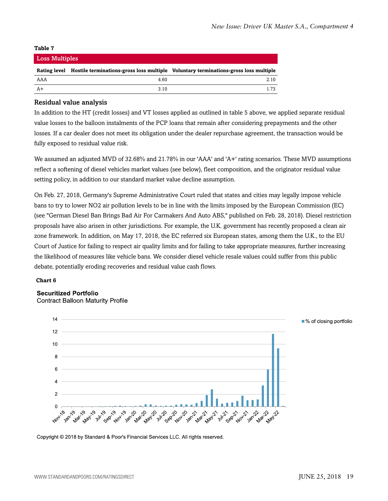#### **Table 7**

| <b>Loss Multiples</b> |      |                                                                                                  |  |  |  |  |
|-----------------------|------|--------------------------------------------------------------------------------------------------|--|--|--|--|
|                       |      | Rating level Hostile terminations-gross loss multiple Voluntary terminations-gross loss multiple |  |  |  |  |
| AAA                   | 4.60 | 2.10                                                                                             |  |  |  |  |
| $A+$                  | 3.10 | 1.73                                                                                             |  |  |  |  |

### Residual value analysis

In addition to the HT (credit losses) and VT losses applied as outlined in table 5 above, we applied separate residual value losses to the balloon instalments of the PCP loans that remain after considering prepayments and the other losses. If a car dealer does not meet its obligation under the dealer repurchase agreement, the transaction would be fully exposed to residual value risk.

We assumed an adjusted MVD of 32.68% and 21.78% in our 'AAA' and 'A+' rating scenarios. These MVD assumptions reflect a softening of diesel vehicles market values (see below), fleet composition, and the originator residual value setting policy, in addition to our standard market value decline assumption.

On Feb. 27, 2018, Germany's Supreme Administrative Court ruled that states and cities may legally impose vehicle bans to try to lower NO2 air pollution levels to be in line with the limits imposed by the European Commission (EC) (see "German Diesel Ban Brings Bad Air For Carmakers And Auto ABS," published on Feb. 28, 2018). Diesel restriction proposals have also arisen in other jurisdictions. For example, the U.K. government has recently proposed a clean air zone framework. In addition, on May 17, 2018, the EC referred six European states, among them the U.K., to the EU Court of Justice for failing to respect air quality limits and for failing to take appropriate measures, further increasing the likelihood of measures like vehicle bans. We consider diesel vehicle resale values could suffer from this public debate, potentially eroding recoveries and residual value cash flows.

#### **Chart 6**

### **Securitized Portfolio**

**Contract Balloon Maturity Profile** 



Copyright © 2018 by Standard & Poor's Financial Services LLC. All rights reserved.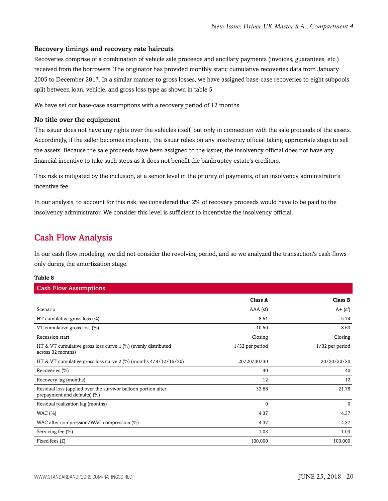### Recovery timings and recovery rate haircuts

Recoveries comprise of a combination of vehicle sale proceeds and ancillary payments (invoices, guarantees, etc.) received from the borrowers. The originator has provided monthly static cumulative recoveries data from January 2005 to December 2017. In a similar manner to gross losses, we have assigned base-case recoveries to eight subpools split between loan, vehicle, and gross loss type as shown in table 5.

We have set our base-case assumptions with a recovery period of 12 months.

### No title over the equipment

The issuer does not have any rights over the vehicles itself, but only in connection with the sale proceeds of the assets. Accordingly, if the seller becomes insolvent, the issuer relies on any insolvency official taking appropriate steps to sell the assets. Because the sale proceeds have been assigned to the issuer, the insolvency official does not have any financial incentive to take such steps as it does not benefit the bankruptcy estate's creditors.

This risk is mitigated by the inclusion, at a senior level in the priority of payments, of an insolvency administrator's incentive fee.

In our analysis, to account for this risk, we considered that 2% of recovery proceeds would have to be paid to the insolvency administrator. We consider this level is sufficient to incentivize the insolvency official.

### <span id="page-19-0"></span>Cash Flow Analysis

In our cash flow modeling, we did not consider the revolving period, and so we analyzed the transaction's cash flows only during the amortization stage.

#### **Table 8**

| <b>Cash Flow Assumptions</b>                                                                   |                 |                 |
|------------------------------------------------------------------------------------------------|-----------------|-----------------|
|                                                                                                | Class A         | Class B         |
| Scenario                                                                                       | $AAA$ (sf)      | $A + (sf)$      |
| HT cumulative gross loss $(\%)$                                                                | 8.51            | 5.74            |
| VT cumulative gross loss $(\%)$                                                                | 10.50           | 8.63            |
| Recession start                                                                                | Closing         | Closing         |
| HT & VT cumulative gross loss curve 1 (%) (evenly distributed<br>across 32 months)             | 1/32 per period | 1/32 per period |
| HT & VT cumulative gross loss curve $2 \frac{1}{2}$ (%) (months $4/8/12/16/20$ )               | 20/20/30/30     | 20/20/30/30     |
| Recoveries (%)                                                                                 | 40              | 40              |
| Recovery lag (months)                                                                          | 12              | 12              |
| Residual loss (applied over the survivor balloon portion after<br>prepayment and defaults) (%) | 32.68           | 21.78           |
| Residual realization lag (months)                                                              | 0               | $\mathbf{0}$    |
| WAC $(%)$                                                                                      | 4.37            | 4.37            |
| WAC after compression/WAC compression (%)                                                      | 4.37            | 4.37            |
| Servicing fee $(\% )$                                                                          | 1.03            | 1.03            |
| Fixed fees $(E)$                                                                               | 100,000         | 100,000         |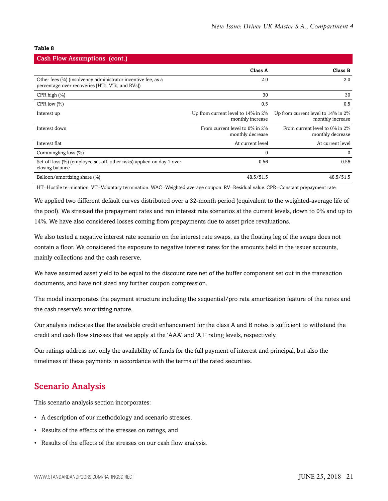#### **Table 8**

| <b>Cash Flow Assumptions (cont.)</b>                                                                            |                                                        |                                                        |  |
|-----------------------------------------------------------------------------------------------------------------|--------------------------------------------------------|--------------------------------------------------------|--|
|                                                                                                                 | Class A                                                | Class B                                                |  |
| Other fees (%) (insolvency administrator incentive fee, as a<br>percentage over recoveries [HTs, VTs, and RVs]) | 2.0                                                    | 2.0                                                    |  |
| CPR high $(\% )$                                                                                                | 30                                                     | 30                                                     |  |
| CPR low $(\% )$                                                                                                 | 0.5                                                    | 0.5                                                    |  |
| Interest up                                                                                                     | Up from current level to 14% in 2%<br>monthly increase | Up from current level to 14% in 2%<br>monthly increase |  |
| Interest down                                                                                                   | From current level to 0% in 2%<br>monthly decrease     | From current level to 0% in 2%<br>monthly decrease     |  |
| Interest flat                                                                                                   | At current level                                       | At current level                                       |  |
| Commingling loss (%)                                                                                            | $\mathbf 0$                                            | $\Omega$                                               |  |
| Set-off loss (%) (employee set off, other risks) applied on day 1 over<br>closing balance                       | 0.56                                                   | 0.56                                                   |  |
| Balloon/amortizing share (%)                                                                                    | 48.5/51.5                                              | 48.5/51.5                                              |  |

HT--Hostile termination. VT--Voluntary termination. WAC--Weighted-average coupon. RV--Residual value. CPR--Constant prepayment rate.

We applied two different default curves distributed over a 32-month period (equivalent to the weighted-average life of the pool). We stressed the prepayment rates and ran interest rate scenarios at the current levels, down to 0% and up to 14%. We have also considered losses coming from prepayments due to asset price revaluations.

We also tested a negative interest rate scenario on the interest rate swaps, as the floating leg of the swaps does not contain a floor. We considered the exposure to negative interest rates for the amounts held in the issuer accounts, mainly collections and the cash reserve.

We have assumed asset yield to be equal to the discount rate net of the buffer component set out in the transaction documents, and have not sized any further coupon compression.

The model incorporates the payment structure including the sequential/pro rata amortization feature of the notes and the cash reserve's amortizing nature.

Our analysis indicates that the available credit enhancement for the class A and B notes is sufficient to withstand the credit and cash flow stresses that we apply at the 'AAA' and 'A+' rating levels, respectively.

Our ratings address not only the availability of funds for the full payment of interest and principal, but also the timeliness of these payments in accordance with the terms of the rated securities.

### <span id="page-20-0"></span>Scenario Analysis

This scenario analysis section incorporates:

- A description of our methodology and scenario stresses,
- Results of the effects of the stresses on ratings, and
- Results of the effects of the stresses on our cash flow analysis.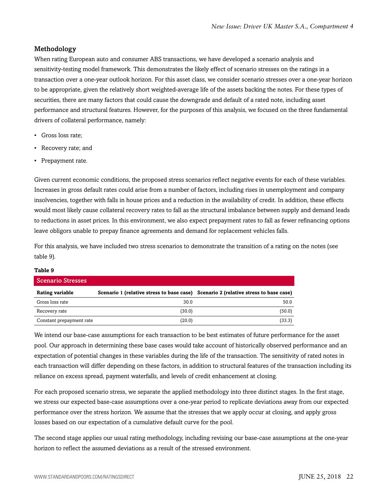### Methodology

When rating European auto and consumer ABS transactions, we have developed a scenario analysis and sensitivity-testing model framework. This demonstrates the likely effect of scenario stresses on the ratings in a transaction over a one-year outlook horizon. For this asset class, we consider scenario stresses over a one-year horizon to be appropriate, given the relatively short weighted-average life of the assets backing the notes. For these types of securities, there are many factors that could cause the downgrade and default of a rated note, including asset performance and structural features. However, for the purposes of this analysis, we focused on the three fundamental drivers of collateral performance, namely:

- Gross loss rate;
- Recovery rate; and
- Prepayment rate.

Given current economic conditions, the proposed stress scenarios reflect negative events for each of these variables. Increases in gross default rates could arise from a number of factors, including rises in unemployment and company insolvencies, together with falls in house prices and a reduction in the availability of credit. In addition, these effects would most likely cause collateral recovery rates to fall as the structural imbalance between supply and demand leads to reductions in asset prices. In this environment, we also expect prepayment rates to fall as fewer refinancing options leave obligors unable to prepay finance agreements and demand for replacement vehicles falls.

For this analysis, we have included two stress scenarios to demonstrate the transition of a rating on the notes (see table 9).

#### **Table 9**

| Scenario Stresses        |        |                                                                                     |
|--------------------------|--------|-------------------------------------------------------------------------------------|
| Rating variable          |        | Scenario 1 (relative stress to base case) Scenario 2 (relative stress to base case) |
| Gross loss rate          | 30.0   | 50.0                                                                                |
| Recovery rate            | (30.0) | (50.0)                                                                              |
| Constant prepayment rate | (20.0) | (33.3)                                                                              |

We intend our base-case assumptions for each transaction to be best estimates of future performance for the asset pool. Our approach in determining these base cases would take account of historically observed performance and an expectation of potential changes in these variables during the life of the transaction. The sensitivity of rated notes in each transaction will differ depending on these factors, in addition to structural features of the transaction including its reliance on excess spread, payment waterfalls, and levels of credit enhancement at closing.

For each proposed scenario stress, we separate the applied methodology into three distinct stages. In the first stage, we stress our expected base-case assumptions over a one-year period to replicate deviations away from our expected performance over the stress horizon. We assume that the stresses that we apply occur at closing, and apply gross losses based on our expectation of a cumulative default curve for the pool.

The second stage applies our usual rating methodology, including revising our base-case assumptions at the one-year horizon to reflect the assumed deviations as a result of the stressed environment.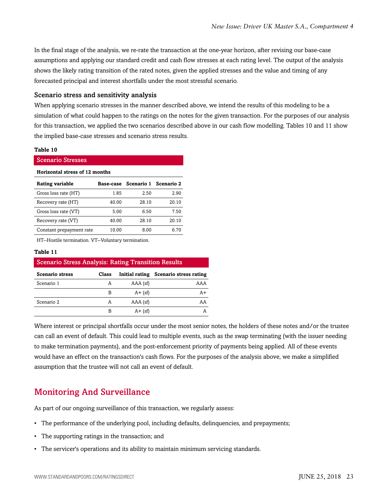In the final stage of the analysis, we re-rate the transaction at the one-year horizon, after revising our base-case assumptions and applying our standard credit and cash flow stresses at each rating level. The output of the analysis shows the likely rating transition of the rated notes, given the applied stresses and the value and timing of any forecasted principal and interest shortfalls under the most stressful scenario.

### Scenario stress and sensitivity analysis

When applying scenario stresses in the manner described above, we intend the results of this modeling to be a simulation of what could happen to the ratings on the notes for the given transaction. For the purposes of our analysis for this transaction, we applied the two scenarios described above in our cash flow modelling. Tables 10 and 11 show the implied base-case stresses and scenario stress results.

#### **Table 10**

| <b>Scenario Stresses</b>       |           |       |                       |  |  |  |
|--------------------------------|-----------|-------|-----------------------|--|--|--|
| Horizontal stress of 12 months |           |       |                       |  |  |  |
| Rating variable                | Base-case |       | Scenario 1 Scenario 2 |  |  |  |
| Gross loss rate (HT)           | 1.85      | 2.50  | 2.90                  |  |  |  |
| Recovery rate (HT)             | 40.00     | 28.10 | 20.10                 |  |  |  |
| Gross loss rate (VT)           | 5.00      | 6.50  | 7.50                  |  |  |  |
| Recovery rate (VT)             | 40.00     | 28.10 | 20.10                 |  |  |  |
| Constant prepayment rate       | 10.00     | 8.00  | 6.70                  |  |  |  |

HT--Hostile termination. VT--Voluntary termination.

### **Table 11**

| <b>Scenario Stress Analysis: Rating Transition Results</b> |       |            |                                       |  |  |
|------------------------------------------------------------|-------|------------|---------------------------------------|--|--|
| <b>Scenario stress</b>                                     | Class |            | Initial rating Scenario stress rating |  |  |
| Scenario 1                                                 | А     | $AAA$ (sf) | AAA                                   |  |  |
|                                                            | В     | $A + (sf)$ | A+                                    |  |  |
| Scenario 2                                                 | A     | $AAA$ (sf) | AA                                    |  |  |
|                                                            | B     | $A+ (sf)$  |                                       |  |  |

Where interest or principal shortfalls occur under the most senior notes, the holders of these notes and/or the trustee can call an event of default. This could lead to multiple events, such as the swap terminating (with the issuer needing to make termination payments), and the post-enforcement priority of payments being applied. All of these events would have an effect on the transaction's cash flows. For the purposes of the analysis above, we make a simplified assumption that the trustee will not call an event of default.

### <span id="page-22-0"></span>Monitoring And Surveillance

As part of our ongoing surveillance of this transaction, we regularly assess:

- The performance of the underlying pool, including defaults, delinquencies, and prepayments;
- The supporting ratings in the transaction; and
- The servicer's operations and its ability to maintain minimum servicing standards.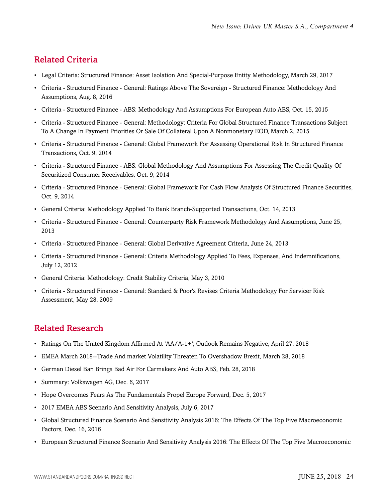### <span id="page-23-0"></span>Related Criteria

- Legal Criteria: Structured Finance: Asset Isolation And Special-Purpose Entity Methodology, March 29, 2017
- Criteria Structured Finance General: Ratings Above The Sovereign Structured Finance: Methodology And Assumptions, Aug. 8, 2016
- Criteria Structured Finance ABS: Methodology And Assumptions For European Auto ABS, Oct. 15, 2015
- Criteria Structured Finance General: Methodology: Criteria For Global Structured Finance Transactions Subject To A Change In Payment Priorities Or Sale Of Collateral Upon A Nonmonetary EOD, March 2, 2015
- Criteria Structured Finance General: Global Framework For Assessing Operational Risk In Structured Finance Transactions, Oct. 9, 2014
- Criteria Structured Finance ABS: Global Methodology And Assumptions For Assessing The Credit Quality Of Securitized Consumer Receivables, Oct. 9, 2014
- Criteria Structured Finance General: Global Framework For Cash Flow Analysis Of Structured Finance Securities, Oct. 9, 2014
- General Criteria: Methodology Applied To Bank Branch-Supported Transactions, Oct. 14, 2013
- Criteria Structured Finance General: Counterparty Risk Framework Methodology And Assumptions, June 25, 2013
- Criteria Structured Finance General: Global Derivative Agreement Criteria, June 24, 2013
- Criteria Structured Finance General: Criteria Methodology Applied To Fees, Expenses, And Indemnifications, July 12, 2012
- General Criteria: Methodology: Credit Stability Criteria, May 3, 2010
- Criteria Structured Finance General: Standard & Poor's Revises Criteria Methodology For Servicer Risk Assessment, May 28, 2009

### <span id="page-23-1"></span>Related Research

- Ratings On The United Kingdom Affirmed At 'AA/A-1+'; Outlook Remains Negative, April 27, 2018
- EMEA March 2018--Trade And market Volatility Threaten To Overshadow Brexit, March 28, 2018
- German Diesel Ban Brings Bad Air For Carmakers And Auto ABS, Feb. 28, 2018
- Summary: Volkswagen AG, Dec. 6, 2017
- Hope Overcomes Fears As The Fundamentals Propel Europe Forward, Dec. 5, 2017
- 2017 EMEA ABS Scenario And Sensitivity Analysis, July 6, 2017
- Global Structured Finance Scenario And Sensitivity Analysis 2016: The Effects Of The Top Five Macroeconomic Factors, Dec. 16, 2016
- European Structured Finance Scenario And Sensitivity Analysis 2016: The Effects Of The Top Five Macroeconomic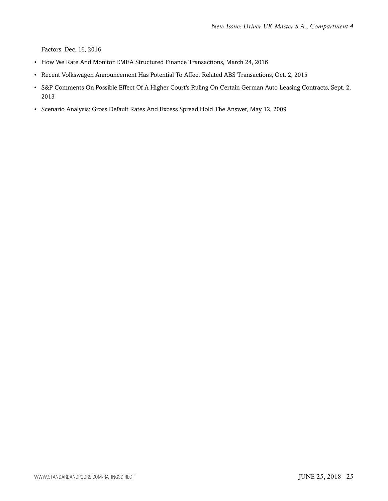Factors, Dec. 16, 2016

- How We Rate And Monitor EMEA Structured Finance Transactions, March 24, 2016
- Recent Volkswagen Announcement Has Potential To Affect Related ABS Transactions, Oct. 2, 2015
- S&P Comments On Possible Effect Of A Higher Court's Ruling On Certain German Auto Leasing Contracts, Sept. 2, 2013
- Scenario Analysis: Gross Default Rates And Excess Spread Hold The Answer, May 12, 2009